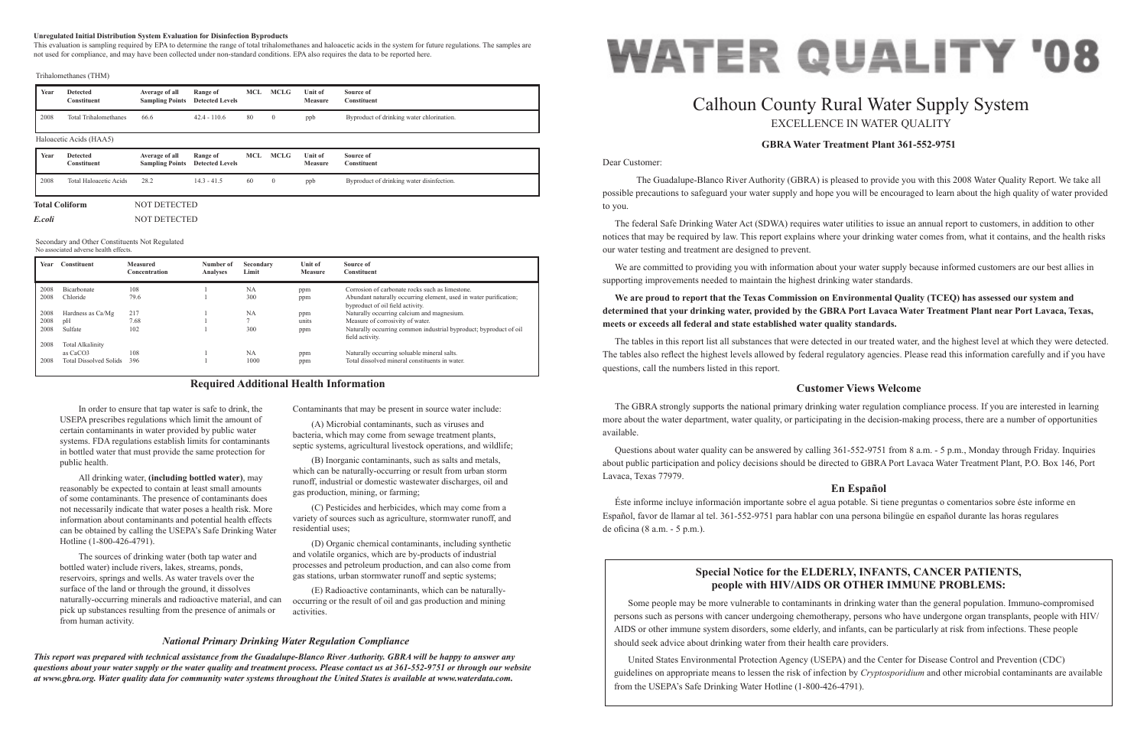Dear Customer:

 The Guadalupe-Blanco River Authority (GBRA) is pleased to provide you with this 2008 Water Quality Report. We take all possible precautions to safeguard your water supply and hope you will be encouraged to learn about the high quality of water provided to you.

The federal Safe Drinking Water Act (SDWA) requires water utilities to issue an annual report to customers, in addition to other notices that may be required by law. This report explains where your drinking water comes from, what it contains, and the health risks our water testing and treatment are designed to prevent.

We are committed to providing you with information about your water supply because informed customers are our best allies in supporting improvements needed to maintain the highest drinking water standards.

The GBRA strongly supports the national primary drinking water regulation compliance process. If you are interested in learning more about the water department, water quality, or participating in the decision-making process, there are a number of opportunities available.

# **We are proud to report that the Texas Commission on Environmental Quality (TCEQ) has assessed our system and determined that your drinking water, provided by the GBRA Port Lavaca Water Treatment Plant near Port Lavaca, Texas, meets or exceeds all federal and state established water quality standards.**

The tables in this report list all substances that were detected in our treated water, and the highest level at which they were detected. The tables also reflect the highest levels allowed by federal regulatory agencies. Please read this information carefully and if you have questions, call the numbers listed in this report.

# **GBRA Water Treatment Plant 361-552-9751**

# **Customer Views Welcome**

Questions about water quality can be answered by calling 361-552-9751 from 8 a.m. - 5 p.m., Monday through Friday. Inquiries about public participation and policy decisions should be directed to GBRA Port Lavaca Water Treatment Plant, P.O. Box 146, Port Lavaca, Texas 77979.

# **En Español**

Éste informe incluye información importante sobre el agua potable. Si tiene preguntas o comentarios sobre éste informe en Español, favor de llamar al tel. 361-552-9751 para hablar con una persona bilingüe en español durante las horas regulares de oficina (8 a.m. - 5 p.m.).

In order to ensure that tap water is safe to drink, the USEPA prescribes regulations which limit the amount of certain contaminants in water provided by public water systems. FDA regulations establish limits for contaminants in bottled water that must provide the same protection for public health.

All drinking water, **(including bottled water)**, may reasonably be expected to contain at least small amounts of some contaminants. The presence of contaminants does not necessarily indicate that water poses a health risk. More information about contaminants and potential health effects can be obtained by calling the USEPA's Safe Drinking Water Hotline (1-800-426-4791).

The sources of drinking water (both tap water and bottled water) include rivers, lakes, streams, ponds, reservoirs, springs and wells. As water travels over the surface of the land or through the ground, it dissolves naturally-occurring minerals and radioactive material, and can pick up substances resulting from the presence of animals or from human activity.

Contaminants that may be present in source water include:

(A) Microbial contaminants, such as viruses and bacteria, which may come from sewage treatment plants, septic systems, agricultural livestock operations, and wildlife;

(B) Inorganic contaminants, such as salts and metals, which can be naturally-occurring or result from urban storm runoff, industrial or domestic wastewater discharges, oil and gas production, mining, or farming;

(C) Pesticides and herbicides, which may come from a variety of sources such as agriculture, stormwater runoff, and residential uses;

(D) Organic chemical contaminants, including synthetic and volatile organics, which are by-products of industrial processes and petroleum production, and can also come from gas stations, urban stormwater runoff and septic systems;

(E) Radioactive contaminants, which can be naturallyoccurring or the result of oil and gas production and mining activities.

# **Required Additional Health Information**

# *National Primary Drinking Water Regulation Compliance*

*This report was prepared with technical assistance from the Guadalupe-Blanco River Authority. GBRA will be happy to answer any questions about your water supply or the water quality and treatment process. Please contact us at 361-552-9751 or through our website at www.gbra.org. Water quality data for community water systems throughout the United States is available at www.waterdata.com.*

# Calhoun County Rural Water Supply System EXCELLENCE IN WATER QUALITY

# **Special Notice for the ELDERLY, INFANTS, CANCER PATIENTS, people with HIV/AIDS OR OTHER IMMUNE PROBLEMS:**

Some people may be more vulnerable to contaminants in drinking water than the general population. Immuno-compromised persons such as persons with cancer undergoing chemotherapy, persons who have undergone organ transplants, people with HIV/ AIDS or other immune system disorders, some elderly, and infants, can be particularly at risk from infections. These people should seek advice about drinking water from their health care providers.

United States Environmental Protection Agency (USEPA) and the Center for Disease Control and Prevention (CDC) guidelines on appropriate means to lessen the risk of infection by *Cryptosporidium* and other microbial contaminants are available from the USEPA's Safe Drinking Water Hotline (1-800-426-4791).



| Year | <b>Constituent</b>            | <b>Measured</b><br>Concentration | Number of<br><b>Analyses</b> | Secondary<br>Limit | Unit of<br><b>Measure</b> | Source of<br><b>Constituent</b>                                                                       |
|------|-------------------------------|----------------------------------|------------------------------|--------------------|---------------------------|-------------------------------------------------------------------------------------------------------|
| 2008 | <b>Bicarbonate</b>            | 108                              |                              | <b>NA</b>          | ppm                       | Corrosion of carbonate rocks such as limestone.                                                       |
| 2008 | Chloride                      | 79.6                             |                              | 300                | ppm                       | Abundant naturally occurring element, used in water purification;<br>byproduct of oil field activity. |
| 2008 | Hardness as Ca/Mg             | 217                              |                              | <b>NA</b>          | ppm                       | Naturally occurring calcium and magnesium.                                                            |
| 2008 | pH                            | 7.68                             |                              |                    | units                     | Measure of corrosivity of water.                                                                      |
| 2008 | Sulfate                       | 102                              |                              | 300                | ppm                       | Naturally occurring common industrial byproduct; byproduct of oil<br>field activity.                  |
| 2008 | <b>Total Alkalinity</b>       |                                  |                              |                    |                           |                                                                                                       |
|      | as CaCO <sub>3</sub>          | 108                              |                              | <b>NA</b>          | ppm                       | Naturally occurring soluable mineral salts.                                                           |
| 2008 | <b>Total Dissolved Solids</b> | 396                              |                              | 1000               | ppm                       | Total dissolved mineral constituents in water.                                                        |

Secondary and Other Constituents Not Regulated

### No associated adverse health effects.

Trihalomethanes (THM)

| Year | <b>Detected</b><br>Constituent | Average of all<br><b>Sampling Points</b> | Range of<br><b>Detected Levels</b> | MCL | <b>MCLG</b> | Unit of<br><b>Measure</b> | Source of<br>Constituent                  |
|------|--------------------------------|------------------------------------------|------------------------------------|-----|-------------|---------------------------|-------------------------------------------|
| 2008 | <b>Total Trihalomethanes</b>   | 66.6                                     | $42.4 - 110.6$                     | 80  | $\Omega$    | ppb                       | Byproduct of drinking water chlorination. |
|      | Haloacetic Acids (HAA5)        |                                          |                                    |     |             |                           |                                           |

| Year | Detected<br>Constituent       | Average of all<br><b>Sampling Points</b> | Range of<br><b>Detected Levels</b> | <b>MCL</b> | <b>MCLG</b> | Unit of<br><b>Measure</b> | Source of<br>Constituent                  |
|------|-------------------------------|------------------------------------------|------------------------------------|------------|-------------|---------------------------|-------------------------------------------|
| 2008 | <b>Total Haloacetic Acids</b> | 28.2                                     | $14.3 - 41.5$                      | 60         |             | ppb                       | Byproduct of drinking water disinfection. |

**Total Coliform** NOT DETECTED

# *E.coli* NOT DETECTED

## **Unregulated Initial Distribution System Evaluation for Disinfection Byproducts**

This evaluation is sampling required by EPA to determine the range of total trihalomethanes and haloacetic acids in the system for future regulations. The samples are not used for compliance, and may have been collected under non-standard conditions. EPA also requires the data to be reported here.